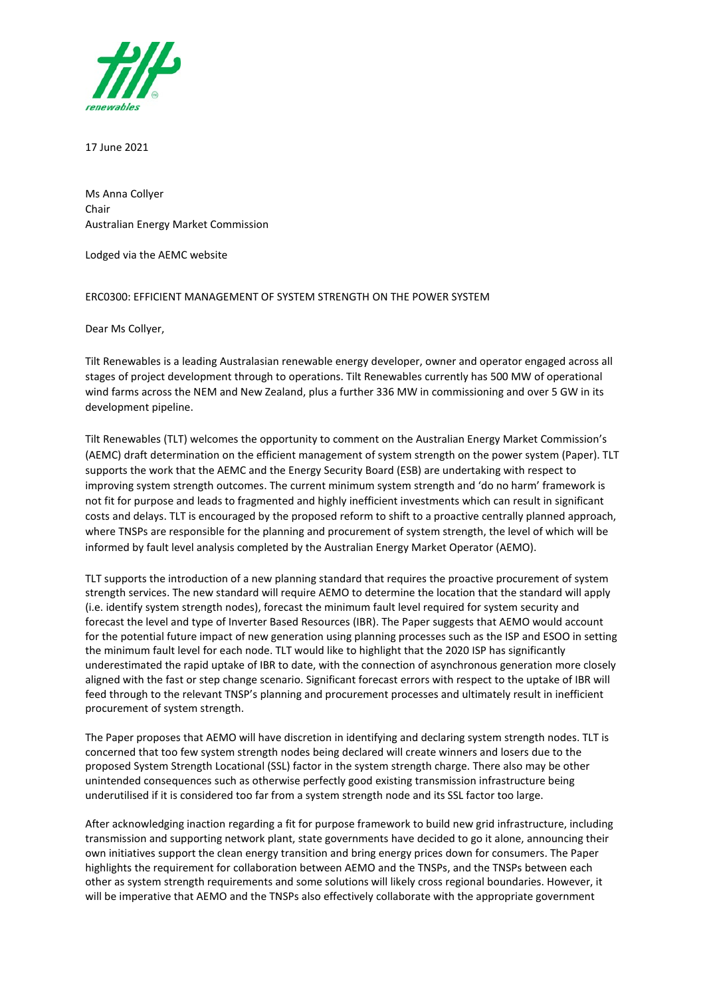

17 June 2021

Ms Anna Collyer Chair Australian Energy Market Commission

Lodged via the AEMC website

## ERC0300: EFFICIENT MANAGEMENT OF SYSTEM STRENGTH ON THE POWER SYSTEM

Dear Ms Collyer,

Tilt Renewables is a leading Australasian renewable energy developer, owner and operator engaged across all stages of project development through to operations. Tilt Renewables currently has 500 MW of operational wind farms across the NEM and New Zealand, plus a further 336 MW in commissioning and over 5 GW in its development pipeline.

Tilt Renewables (TLT) welcomes the opportunity to comment on the Australian Energy Market Commission's (AEMC) draft determination on the efficient management of system strength on the power system (Paper). TLT supports the work that the AEMC and the Energy Security Board (ESB) are undertaking with respect to improving system strength outcomes. The current minimum system strength and 'do no harm' framework is not fit for purpose and leads to fragmented and highly inefficient investments which can result in significant costs and delays. TLT is encouraged by the proposed reform to shift to a proactive centrally planned approach, where TNSPs are responsible for the planning and procurement of system strength, the level of which will be informed by fault level analysis completed by the Australian Energy Market Operator (AEMO).

TLT supports the introduction of a new planning standard that requires the proactive procurement of system strength services. The new standard will require AEMO to determine the location that the standard will apply (i.e. identify system strength nodes), forecast the minimum fault level required for system security and forecast the level and type of Inverter Based Resources (IBR). The Paper suggests that AEMO would account for the potential future impact of new generation using planning processes such as the ISP and ESOO in setting the minimum fault level for each node. TLT would like to highlight that the 2020 ISP has significantly underestimated the rapid uptake of IBR to date, with the connection of asynchronous generation more closely aligned with the fast or step change scenario. Significant forecast errors with respect to the uptake of IBR will feed through to the relevant TNSP's planning and procurement processes and ultimately result in inefficient procurement of system strength.

The Paper proposes that AEMO will have discretion in identifying and declaring system strength nodes. TLT is concerned that too few system strength nodes being declared will create winners and losers due to the proposed System Strength Locational (SSL) factor in the system strength charge. There also may be other unintended consequences such as otherwise perfectly good existing transmission infrastructure being underutilised if it is considered too far from a system strength node and its SSL factor too large.

After acknowledging inaction regarding a fit for purpose framework to build new grid infrastructure, including transmission and supporting network plant, state governments have decided to go it alone, announcing their own initiatives support the clean energy transition and bring energy prices down for consumers. The Paper highlights the requirement for collaboration between AEMO and the TNSPs, and the TNSPs between each other as system strength requirements and some solutions will likely cross regional boundaries. However, it will be imperative that AEMO and the TNSPs also effectively collaborate with the appropriate government